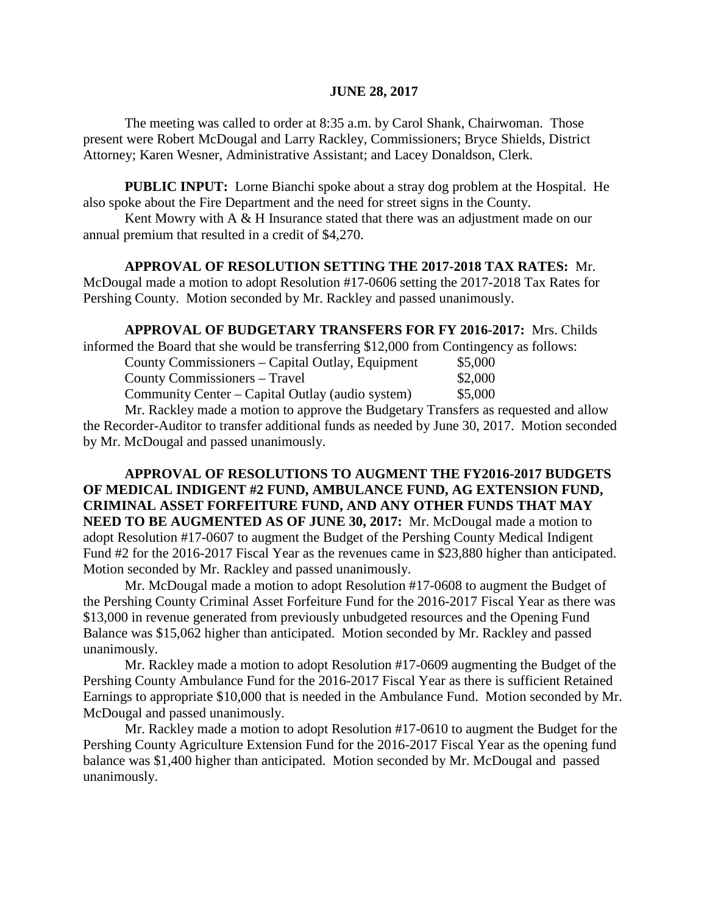## **JUNE 28, 2017**

The meeting was called to order at 8:35 a.m. by Carol Shank, Chairwoman. Those present were Robert McDougal and Larry Rackley, Commissioners; Bryce Shields, District Attorney; Karen Wesner, Administrative Assistant; and Lacey Donaldson, Clerk.

 **PUBLIC INPUT:** Lorne Bianchi spoke about a stray dog problem at the Hospital. He also spoke about the Fire Department and the need for street signs in the County.

Kent Mowry with A & H Insurance stated that there was an adjustment made on our annual premium that resulted in a credit of \$4,270.

**APPROVAL OF RESOLUTION SETTING THE 2017-2018 TAX RATES:** Mr. McDougal made a motion to adopt Resolution #17-0606 setting the 2017-2018 Tax Rates for Pershing County. Motion seconded by Mr. Rackley and passed unanimously.

**APPROVAL OF BUDGETARY TRANSFERS FOR FY 2016-2017:** Mrs. Childs informed the Board that she would be transferring \$12,000 from Contingency as follows:

| County Commissioners – Capital Outlay, Equipment | \$5,000 |
|--------------------------------------------------|---------|
| County Commissioners – Travel                    | \$2,000 |
| Community Center – Capital Outlay (audio system) | \$5,000 |

Mr. Rackley made a motion to approve the Budgetary Transfers as requested and allow the Recorder-Auditor to transfer additional funds as needed by June 30, 2017. Motion seconded by Mr. McDougal and passed unanimously.

**APPROVAL OF RESOLUTIONS TO AUGMENT THE FY2016-2017 BUDGETS OF MEDICAL INDIGENT #2 FUND, AMBULANCE FUND, AG EXTENSION FUND, CRIMINAL ASSET FORFEITURE FUND, AND ANY OTHER FUNDS THAT MAY NEED TO BE AUGMENTED AS OF JUNE 30, 2017:** Mr. McDougal made a motion to adopt Resolution #17-0607 to augment the Budget of the Pershing County Medical Indigent Fund #2 for the 2016-2017 Fiscal Year as the revenues came in \$23,880 higher than anticipated. Motion seconded by Mr. Rackley and passed unanimously.

Mr. McDougal made a motion to adopt Resolution #17-0608 to augment the Budget of the Pershing County Criminal Asset Forfeiture Fund for the 2016-2017 Fiscal Year as there was \$13,000 in revenue generated from previously unbudgeted resources and the Opening Fund Balance was \$15,062 higher than anticipated. Motion seconded by Mr. Rackley and passed unanimously.

Mr. Rackley made a motion to adopt Resolution #17-0609 augmenting the Budget of the Pershing County Ambulance Fund for the 2016-2017 Fiscal Year as there is sufficient Retained Earnings to appropriate \$10,000 that is needed in the Ambulance Fund. Motion seconded by Mr. McDougal and passed unanimously.

Mr. Rackley made a motion to adopt Resolution #17-0610 to augment the Budget for the Pershing County Agriculture Extension Fund for the 2016-2017 Fiscal Year as the opening fund balance was \$1,400 higher than anticipated. Motion seconded by Mr. McDougal and passed unanimously.